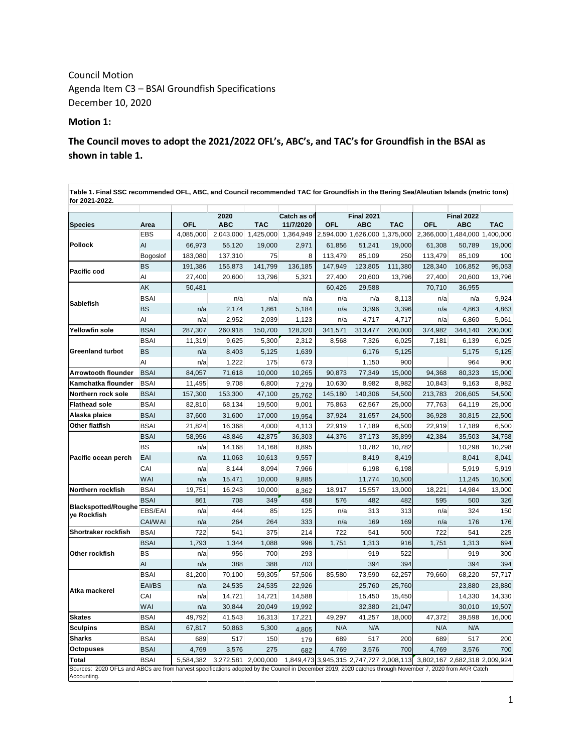Council Motion Agenda Item C3 – BSAI Groundfish Specifications December 10, 2020

### **Motion 1:**

**The Council moves to adopt the 2021/2022 OFL's, ABC's, and TAC's for Groundfish in the BSAI as shown in table 1.**

**Catch as of Species Area OFL ABC TAC 11/7/2020 OFL ABC TAC OFL ABC TAC** EBS 4,085,000 2,043,000 1,425,000 1,364,949 2,594,000 1,626,000 1,375,000 2,366,000 1,484,000 1,400,000 AI 66,973 55,120 19,000 2,971 61,856 51,241 19,000 61,308 50,789 19,000 Bogoslof 183,080 137,310 75 8 113,479 85,109 250 113,479 85,109 100 BS 191,386 155,873 141,799 136,185 147,949 123,805 111,380 128,340 106,852 95,053 AI 27,400 20,600 13,796 5,321 27,400 20,600 13,796 27,400 20,600 13,796 AK 50,481 60,426 29,588 70,710 36,955 BSAI n/a n/a n/a n/a n/a 8,113 n/a n/a 9,924 BS n/a 2,174 1,861 5,184 n/a 3,396 3,396 n/a 4,863 4,863 AI n/a 2,952 2,039 1,123 n/a 4,717 4,717 n/a 6,860 5,061 **Yellowfin sole** BSAI 287,307 260,918 150,700 128,320 341,571 313,477 200,000 374,982 344,140 200,000 BSAI 11,319 9,625 5,300 2,312 8,568 7,326 6,025 7,181 6,139 6,025 BS n/a 8,403 5,125 1,639 6,176 5,125 5,175 5,125 AI n/a 1,222 175 673 1,150 900 964 900 **Arrowtooth flounder** BSAI 84,057 71,618 10,000 10,265 90,873 77,349 15,000 94,368 80,323 15,000 **Kamchatka flounder** BSAI | 11,495 9,708 6,800 7,279 10,630 8,982 8,982 10,843 9,163 8,982 **Northern rock sole** BSAI 157,300 153,300 47,100 25,762 145,180 140,306 54,500 213,783 206,605 54,500 **Flathead sole** BSAI 82,810 68,134 19,500 9,001 75,863 62,567 25,000 77,763 64,119 25,000 **Alaska plaice** BSAI 37,600 31,600 17,000 19,954 37,924 31,657 24,500 36,928 30,815 22,500 **Other flatfish** BSAI 21,824 16,368 4,000 4,113 22,919 17,189 6,500 22,919 17,189 6,500 BSAI 58,956 48,846 42,875 36,303 44,376 37,173 35,899 42,384 35,503 34,758 BS | n/a 14,168 14,168 8,895 | 10,782 10,782 10,298 10,298 EAI | n/a 11,063 10,613 9,557 | 8,419 8,419 8,041 8,041 CAI | n/a 8,144 8,094 7,966 | 6,198 6,198 5,919 5,919 WAI | n/a 15,471 10,000 9,885 | 11,774 10,500 | 11,245 10,500 **Northern rockfish** BSAI 19,751 16,243 10,000 8,362 18,917 15,557 13,000 18,221 14,984 13,000 BSAI 861 708 349 458 576 482 482 595 500 326 EBS/EAI n/a 444 85 125 n/a 313 313 n/a 324 150 CAI/WAI n/a 264 264 333 n/a 169 169 n/a 176 176 **Shortraker rockfish** BSAI 722 541 375 214 722 541 500 722 541 225 BSAI 1,793 1,344 1,088 996 1,751 1,313 916 1,751 1,313 694 BS | n/a 956 700 293 | 919 522 | 919 300 AI n/a 388 388 703 394 394 394 394 BSAI 81,200 70,100 59,305 57,506 85,580 73,590 62,257 79,660 68,220 57,717 EAI/BS | n/a 24,535 24,535 22,926 | 25,760 25,760 21,880 23,880 23,880 CAI | n/a 14,721 14,721 14,588 | 15,450 15,450 | 14,330 14,330 WAI | n/a 30,844 20,049 19,992 | 32,380 21,047 | 30,010 19,507 **Skates** BSAI 49,792 41,543 16,313 17,221 49,297 41,257 18,000 47,372 39,598 16,000 **Sculpins** BSAI 67,817 50,863 5,300 4,805 N/A N/A N/A N/A **Sharks** BSAI 689 517 150 179 689 517 200 689 517 200 **Octopuses** BSAI 4,769 3,576 275 682 4,769 3,576 700 4,769 3,576 700 **Total** BSAI 5,584,382 3,272,581 2,000,000 1,849,473 3,945,315 2,747,727 2,008,113 3,802,167 2,682,318 2,009,924 **Table 1. Final SSC recommended OFL, ABC, and Council recommended TAC for Groundfish in the Bering Sea/Aleutian Islands (metric tons) for 2021-2022. Sablefish** Sources: 2020 OFLs and ABCs are from harvest specifications adopted by the Council in December 2019; 2020 catches through November 7, 2020 from AKR Catch Accounting. **Pacific ocean perch Blackspotted/Roughe ye Rockfish Greenland turbot Other rockfish Atka mackerel 2020 Final 2021 Final 2022 Pollock Pacific cod**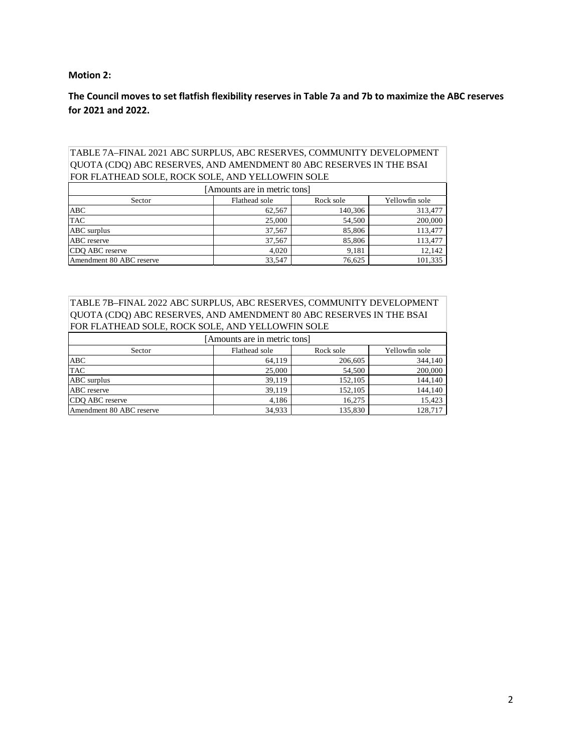### **Motion 2:**

**The Council moves to set flatfish flexibility reserves in Table 7a and 7b to maximize the ABC reserves for 2021 and 2022.**

## TABLE 7A–FINAL 2021 ABC SURPLUS, ABC RESERVES, COMMUNITY DEVELOPMENT QUOTA (CDQ) ABC RESERVES, AND AMENDMENT 80 ABC RESERVES IN THE BSAI FOR FLATHEAD SOLE, ROCK SOLE, AND YELLOWFIN SOLE

| [Amounts are in metric tons] |               |           |                |  |
|------------------------------|---------------|-----------|----------------|--|
| Sector                       | Flathead sole | Rock sole | Yellowfin sole |  |
| <b>ABC</b>                   | 62.567        | 140,306   | 313,477        |  |
| <b>TAC</b>                   | 25,000        | 54,500    | 200,000        |  |
| ABC surplus                  | 37,567        | 85,806    | 113,477        |  |
| <b>ABC</b> reserve           | 37,567        | 85,806    | 113,477        |  |
| CDQ ABC reserve              | 4.020         | 9,181     | 12,142         |  |
| Amendment 80 ABC reserve     | 33.547        | 76,625    | 101,335        |  |

#### TABLE 7B–FINAL 2022 ABC SURPLUS, ABC RESERVES, COMMUNITY DEVELOPMENT QUOTA (CDQ) ABC RESERVES, AND AMENDMENT 80 ABC RESERVES IN THE BSAI FOR FLATHEAD SOLE, ROCK SOLE, AND YELLOWFIN SOLE

| [Amounts are in metric tons] |               |           |                |  |
|------------------------------|---------------|-----------|----------------|--|
| Sector                       | Flathead sole | Rock sole | Yellowfin sole |  |
| <b>ABC</b>                   | 64.119        | 206,605   | 344,140        |  |
| <b>TAC</b>                   | 25,000        | 54,500    | 200,000        |  |
| ABC surplus                  | 39.119        | 152,105   | 144,140        |  |
| ABC reserve                  | 39,119        | 152,105   | 144,140        |  |
| CDO ABC reserve              | 4.186         | 16.275    | 15,423         |  |
| Amendment 80 ABC reserve     | 34.933        | 135.830   | 128,717        |  |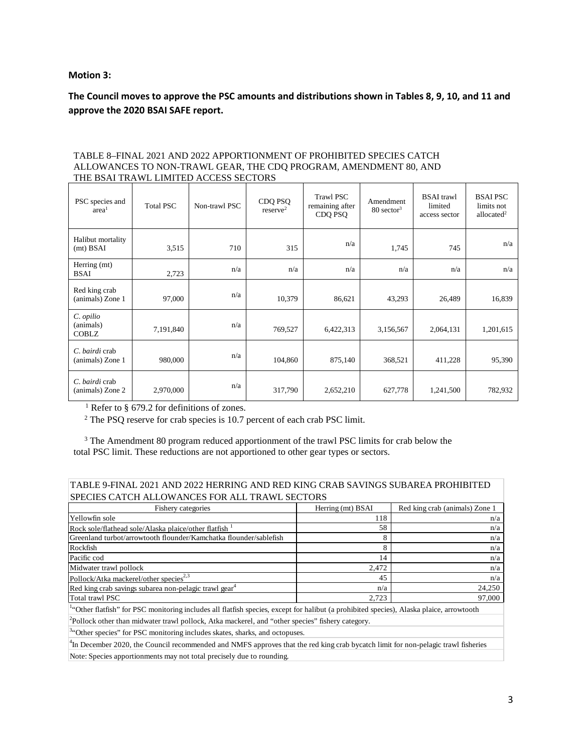#### **Motion 3:**

**The Council moves to approve the PSC amounts and distributions shown in Tables 8, 9, 10, and 11 and approve the 2020 BSAI SAFE report.**

| PSC species and<br>area <sup>1</sup>   | <b>Total PSC</b> | Non-trawl PSC | CDQ PSQ<br>reserve <sup>2</sup> | <b>Trawl PSC</b><br>remaining after<br>CDQ PSQ | Amendment<br>$80 \text{ sector}^3$ | <b>BSAI</b> trawl<br>limited<br>access sector | <b>BSAIPSC</b><br>limits not<br>allocated $2$ |
|----------------------------------------|------------------|---------------|---------------------------------|------------------------------------------------|------------------------------------|-----------------------------------------------|-----------------------------------------------|
| Halibut mortality<br>$(mt)$ BSAI       | 3,515            | 710           | 315                             | n/a                                            | 1,745                              | 745                                           | n/a                                           |
| Herring (mt)<br>BSAI                   | 2,723            | n/a           | n/a                             | n/a                                            | n/a                                | n/a                                           | n/a                                           |
| Red king crab<br>(animals) Zone 1      | 97,000           | n/a           | 10,379                          | 86,621                                         | 43,293                             | 26,489                                        | 16,839                                        |
| C. opilio<br>(animals)<br><b>COBLZ</b> | 7,191,840        | n/a           | 769,527                         | 6,422,313                                      | 3,156,567                          | 2,064,131                                     | 1,201,615                                     |
| C. bairdi crab<br>(animals) Zone 1     | 980,000          | n/a           | 104,860                         | 875,140                                        | 368,521                            | 411,228                                       | 95,390                                        |
| C. bairdi crab<br>(animals) Zone 2     | 2,970,000        | n/a           | 317,790                         | 2,652,210                                      | 627,778                            | 1,241,500                                     | 782,932                                       |

#### TABLE 8–FINAL 2021 AND 2022 APPORTIONMENT OF PROHIBITED SPECIES CATCH ALLOWANCES TO NON-TRAWL GEAR, THE CDQ PROGRAM, AMENDMENT 80, AND THE BSAI TRAWL LIMITED ACCESS SECTORS

<sup>1</sup> Refer to § 679.2 for definitions of zones.<br><sup>2</sup> The PSQ reserve for crab species is 10.7 percent of each crab PSC limit.

<sup>3</sup> The Amendment 80 program reduced apportionment of the trawl PSC limits for crab below the total PSC limit. These reductions are not apportioned to other gear types or sectors.

## TABLE 9-FINAL 2021 AND 2022 HERRING AND RED KING CRAB SAVINGS SUBAREA PROHIBITED SPECIES CATCH ALLOWANCES FOR ALL TRAWL SECTORS

| Fishery categories                                                                                                                                   | Herring (mt) BSAI | Red king crab (animals) Zone 1 |  |  |
|------------------------------------------------------------------------------------------------------------------------------------------------------|-------------------|--------------------------------|--|--|
| Yellowfin sole                                                                                                                                       | 118               | n/a                            |  |  |
| Rock sole/flathead sole/Alaska plaice/other flatfish                                                                                                 | 58                | n/a                            |  |  |
| Greenland turbot/arrowtooth flounder/Kamchatka flounder/sablefish                                                                                    | 8                 | n/a                            |  |  |
| Rockfish                                                                                                                                             | 8                 | n/a                            |  |  |
| Pacific cod                                                                                                                                          | 14                | n/a                            |  |  |
| Midwater trawl pollock                                                                                                                               | 2,472             | n/a                            |  |  |
| Pollock/Atka mackerel/other species <sup>2,3</sup>                                                                                                   | 45                | n/a                            |  |  |
| Red king crab savings subarea non-pelagic trawl gear <sup>4</sup>                                                                                    | n/a               | 24,250                         |  |  |
| Total trawl PSC                                                                                                                                      | 2,723             | 97,000                         |  |  |
| <sup>14</sup> Other flatfish" for PSC monitoring includes all flatfish species, except for halibut (a prohibited species), Alaska plaice, arrowtooth |                   |                                |  |  |
| $^2$ Pollock other than midwater trawl pollock, Atka mackerel, and "other species" fishery category.                                                 |                   |                                |  |  |
| <sup>3"</sup> Other species" for PSC monitoring includes skates, sharks, and octopuses.                                                              |                   |                                |  |  |
| <sup>4</sup> In December 2020, the Council recommended and NMFS approves that the red king crab bycatch limit for non-pelagic trawl fisheries        |                   |                                |  |  |

Note: Species apportionments may not total precisely due to rounding.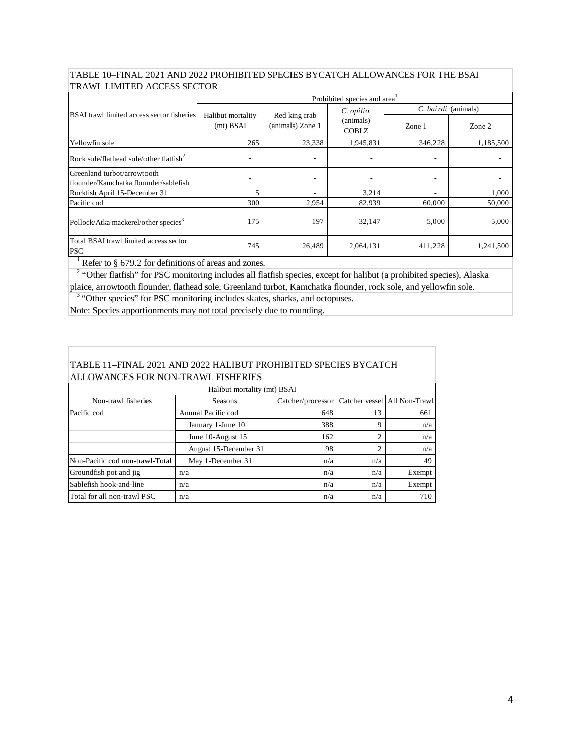## TABLE 10–FINAL 2021 AND 2022 PROHIBITED SPECIES BYCATCH ALLOWANCES FOR THE BSAI TRAWL LIMITED ACCESS SECTOR

|                                                                      | Prohibited species and area      |                                   |                                        |                          |           |
|----------------------------------------------------------------------|----------------------------------|-----------------------------------|----------------------------------------|--------------------------|-----------|
|                                                                      |                                  | Red king crab<br>(animals) Zone 1 | C. opilio<br>(animals)<br><b>COBLZ</b> | C. bairdi (animals)      |           |
| <b>BSAI</b> trawl limited access sector fisheries                    | Halibut mortality<br>$(mt)$ BSAI |                                   |                                        | Zone 1                   | Zone 2    |
| Yellowfin sole                                                       | 265                              | 23,338                            | 1,945,831                              | 346,228                  | 1,185,500 |
| Rock sole/flathead sole/other flatfish $2$                           | $\overline{\phantom{a}}$         | ٠                                 |                                        | $\overline{\phantom{a}}$ |           |
| Greenland turbot/arrowtooth<br>flounder/Kamchatka flounder/sablefish |                                  |                                   |                                        |                          |           |
| Rockfish April 15-December 31                                        |                                  |                                   | 3,214                                  | ۰                        | 1,000     |
| Pacific cod                                                          | 300                              | 2,954                             | 82,939                                 | 60,000                   | 50,000    |
| Pollock/Atka mackerel/other species <sup>3</sup>                     | 175                              | 197                               | 32,147                                 | 5,000                    | 5,000     |
| Total BSAI trawl limited access sector<br><b>PSC</b>                 | 745                              | 26,489                            | 2,064,131                              | 411,228                  | 1,241,500 |

<sup>1</sup> Refer to § 679.2 for definitions of areas and zones.

<sup>2</sup> "Other flatfish" for PSC monitoring includes all flatfish species, except for halibut (a prohibited species), Alaska plaice, arrowtooth flounder, flathead sole, Greenland turbot, Kamchatka flounder, rock sole, and yellowfin sole.

<sup>3</sup> "Other species" for PSC monitoring includes skates, sharks, and octopuses.

Note: Species apportionments may not total precisely due to rounding.

# TABLE 11–FINAL 2021 AND 2022 HALIBUT PROHIBITED SPECIES BYCATCH ALLOWANCES FOR NON-TRAWL FISHERIES

| Halibut mortality (mt) BSAI     |                       |                   |     |                              |  |
|---------------------------------|-----------------------|-------------------|-----|------------------------------|--|
| Non-trawl fisheries             | <b>Seasons</b>        | Catcher/processor |     | Catcher vessel All Non-Trawl |  |
| Pacific cod                     | Annual Pacific cod    | 648               | 13  | 661                          |  |
|                                 | January 1-June 10     | 388               | 9   | n/a                          |  |
| June 10-August 15               |                       | 162               | ↑   | n/a                          |  |
|                                 | August 15-December 31 | 98                | 2   | n/a                          |  |
| Non-Pacific cod non-trawl-Total | May 1-December 31     | n/a               | n/a | 49                           |  |
| Groundfish pot and jig          | n/a                   | n/a               | n/a | Exempt                       |  |
| Sablefish hook-and-line         | n/a                   | n/a               | n/a | Exempt                       |  |
| Total for all non-trawl PSC     | n/a                   | n/a               | n/a | 710                          |  |